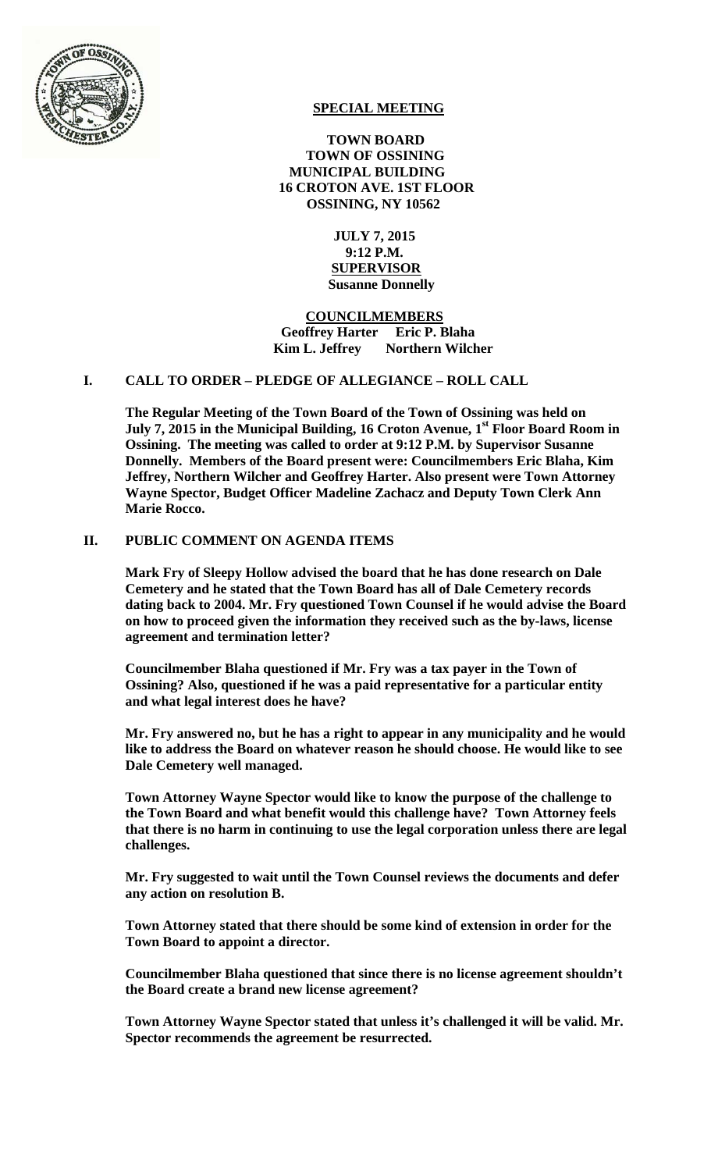

# **SPECIAL MEETING**

 **TOWN BOARD TOWN OF OSSINING MUNICIPAL BUILDING 16 CROTON AVE. 1ST FLOOR OSSINING, NY 10562** 

> **JULY 7, 2015 9:12 P.M. SUPERVISOR Susanne Donnelly**

 **COUNCILMEMBERS Geoffrey Harter Eric P. Blaha Kim L. Jeffrey** Northern Wilcher

## **I. CALL TO ORDER – PLEDGE OF ALLEGIANCE – ROLL CALL**

**The Regular Meeting of the Town Board of the Town of Ossining was held on July 7, 2015 in the Municipal Building, 16 Croton Avenue, 1<sup>st</sup> Floor Board Room in Ossining. The meeting was called to order at 9:12 P.M. by Supervisor Susanne Donnelly. Members of the Board present were: Councilmembers Eric Blaha, Kim Jeffrey, Northern Wilcher and Geoffrey Harter. Also present were Town Attorney Wayne Spector, Budget Officer Madeline Zachacz and Deputy Town Clerk Ann Marie Rocco.** 

## **II. PUBLIC COMMENT ON AGENDA ITEMS**

**Mark Fry of Sleepy Hollow advised the board that he has done research on Dale Cemetery and he stated that the Town Board has all of Dale Cemetery records dating back to 2004. Mr. Fry questioned Town Counsel if he would advise the Board on how to proceed given the information they received such as the by-laws, license agreement and termination letter?** 

**Councilmember Blaha questioned if Mr. Fry was a tax payer in the Town of Ossining? Also, questioned if he was a paid representative for a particular entity and what legal interest does he have?** 

**Mr. Fry answered no, but he has a right to appear in any municipality and he would like to address the Board on whatever reason he should choose. He would like to see Dale Cemetery well managed.** 

**Town Attorney Wayne Spector would like to know the purpose of the challenge to the Town Board and what benefit would this challenge have? Town Attorney feels that there is no harm in continuing to use the legal corporation unless there are legal challenges.** 

**Mr. Fry suggested to wait until the Town Counsel reviews the documents and defer any action on resolution B.** 

**Town Attorney stated that there should be some kind of extension in order for the Town Board to appoint a director.** 

**Councilmember Blaha questioned that since there is no license agreement shouldn't the Board create a brand new license agreement?** 

**Town Attorney Wayne Spector stated that unless it's challenged it will be valid. Mr. Spector recommends the agreement be resurrected.**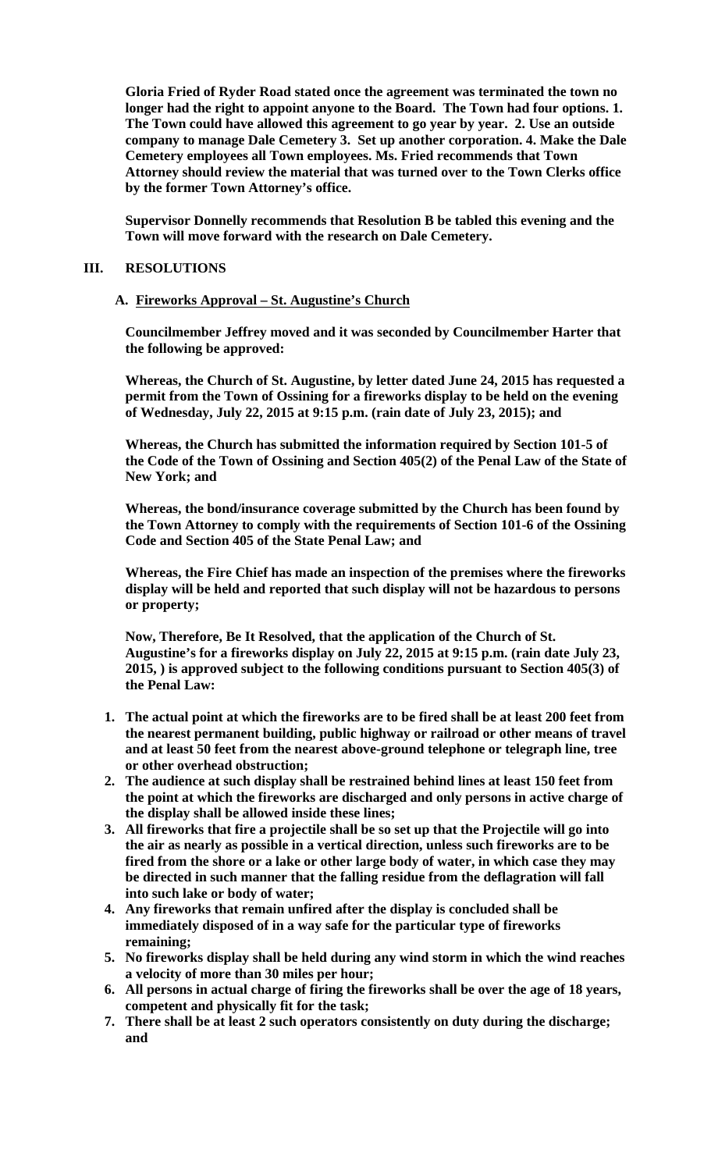**Gloria Fried of Ryder Road stated once the agreement was terminated the town no longer had the right to appoint anyone to the Board. The Town had four options. 1. The Town could have allowed this agreement to go year by year. 2. Use an outside company to manage Dale Cemetery 3. Set up another corporation. 4. Make the Dale Cemetery employees all Town employees. Ms. Fried recommends that Town Attorney should review the material that was turned over to the Town Clerks office by the former Town Attorney's office.** 

**Supervisor Donnelly recommends that Resolution B be tabled this evening and the Town will move forward with the research on Dale Cemetery.** 

#### **III. RESOLUTIONS**

### **A. Fireworks Approval – St. Augustine's Church**

**Councilmember Jeffrey moved and it was seconded by Councilmember Harter that the following be approved:** 

**Whereas, the Church of St. Augustine, by letter dated June 24, 2015 has requested a permit from the Town of Ossining for a fireworks display to be held on the evening of Wednesday, July 22, 2015 at 9:15 p.m. (rain date of July 23, 2015); and** 

**Whereas, the Church has submitted the information required by Section 101-5 of the Code of the Town of Ossining and Section 405(2) of the Penal Law of the State of New York; and** 

**Whereas, the bond/insurance coverage submitted by the Church has been found by the Town Attorney to comply with the requirements of Section 101-6 of the Ossining Code and Section 405 of the State Penal Law; and** 

**Whereas, the Fire Chief has made an inspection of the premises where the fireworks display will be held and reported that such display will not be hazardous to persons or property;** 

**Now, Therefore, Be It Resolved, that the application of the Church of St. Augustine's for a fireworks display on July 22, 2015 at 9:15 p.m. (rain date July 23, 2015, ) is approved subject to the following conditions pursuant to Section 405(3) of the Penal Law:** 

- **1. The actual point at which the fireworks are to be fired shall be at least 200 feet from the nearest permanent building, public highway or railroad or other means of travel and at least 50 feet from the nearest above-ground telephone or telegraph line, tree or other overhead obstruction;**
- **2. The audience at such display shall be restrained behind lines at least 150 feet from the point at which the fireworks are discharged and only persons in active charge of the display shall be allowed inside these lines;**
- **3. All fireworks that fire a projectile shall be so set up that the Projectile will go into the air as nearly as possible in a vertical direction, unless such fireworks are to be fired from the shore or a lake or other large body of water, in which case they may be directed in such manner that the falling residue from the deflagration will fall into such lake or body of water;**
- **4. Any fireworks that remain unfired after the display is concluded shall be immediately disposed of in a way safe for the particular type of fireworks remaining;**
- **5. No fireworks display shall be held during any wind storm in which the wind reaches a velocity of more than 30 miles per hour;**
- **6. All persons in actual charge of firing the fireworks shall be over the age of 18 years, competent and physically fit for the task;**
- **7. There shall be at least 2 such operators consistently on duty during the discharge; and**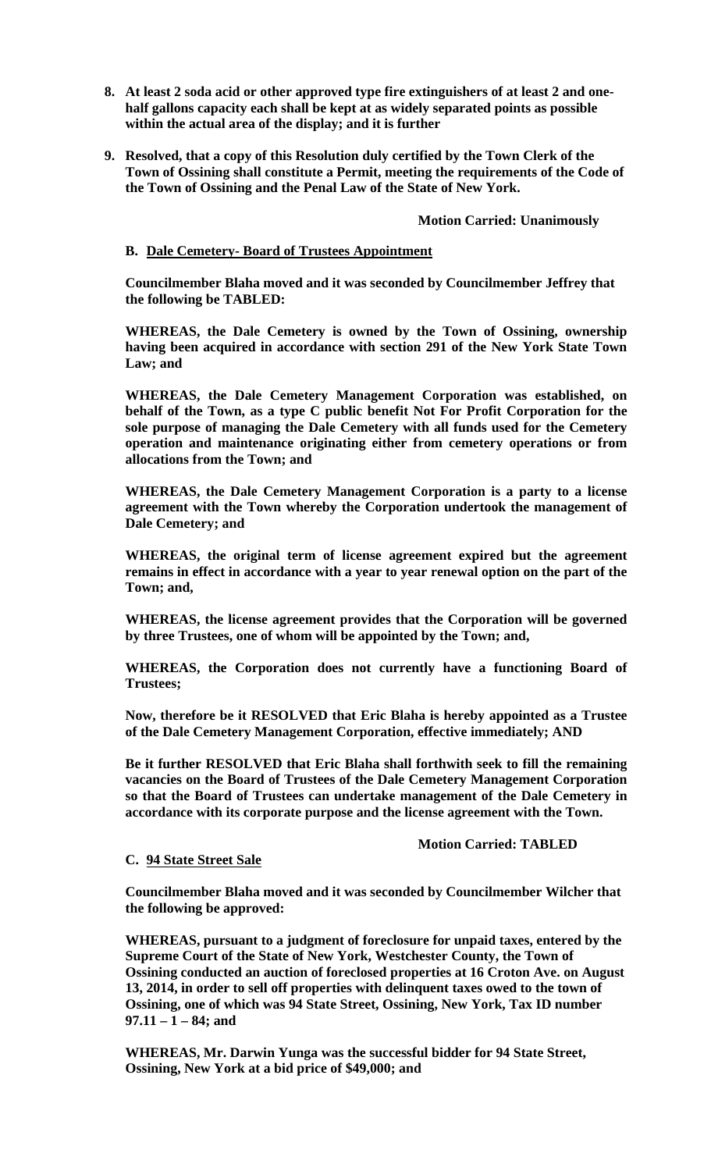- **8. At least 2 soda acid or other approved type fire extinguishers of at least 2 and onehalf gallons capacity each shall be kept at as widely separated points as possible within the actual area of the display; and it is further**
- **9. Resolved, that a copy of this Resolution duly certified by the Town Clerk of the Town of Ossining shall constitute a Permit, meeting the requirements of the Code of the Town of Ossining and the Penal Law of the State of New York.**

### **Motion Carried: Unanimously**

### **B. Dale Cemetery- Board of Trustees Appointment**

**Councilmember Blaha moved and it was seconded by Councilmember Jeffrey that the following be TABLED:** 

**WHEREAS, the Dale Cemetery is owned by the Town of Ossining, ownership having been acquired in accordance with section 291 of the New York State Town Law; and** 

**WHEREAS, the Dale Cemetery Management Corporation was established, on behalf of the Town, as a type C public benefit Not For Profit Corporation for the sole purpose of managing the Dale Cemetery with all funds used for the Cemetery operation and maintenance originating either from cemetery operations or from allocations from the Town; and** 

**WHEREAS, the Dale Cemetery Management Corporation is a party to a license agreement with the Town whereby the Corporation undertook the management of Dale Cemetery; and** 

**WHEREAS, the original term of license agreement expired but the agreement remains in effect in accordance with a year to year renewal option on the part of the Town; and,** 

**WHEREAS, the license agreement provides that the Corporation will be governed by three Trustees, one of whom will be appointed by the Town; and,** 

**WHEREAS, the Corporation does not currently have a functioning Board of Trustees;** 

**Now, therefore be it RESOLVED that Eric Blaha is hereby appointed as a Trustee of the Dale Cemetery Management Corporation, effective immediately; AND** 

**Be it further RESOLVED that Eric Blaha shall forthwith seek to fill the remaining vacancies on the Board of Trustees of the Dale Cemetery Management Corporation so that the Board of Trustees can undertake management of the Dale Cemetery in accordance with its corporate purpose and the license agreement with the Town.**

#### **Motion Carried: TABLED**

#### **C. 94 State Street Sale**

**Councilmember Blaha moved and it was seconded by Councilmember Wilcher that the following be approved:** 

**WHEREAS, pursuant to a judgment of foreclosure for unpaid taxes, entered by the Supreme Court of the State of New York, Westchester County, the Town of Ossining conducted an auction of foreclosed properties at 16 Croton Ave. on August 13, 2014, in order to sell off properties with delinquent taxes owed to the town of Ossining, one of which was 94 State Street, Ossining, New York, Tax ID number 97.11 – 1 – 84; and** 

**WHEREAS, Mr. Darwin Yunga was the successful bidder for 94 State Street, Ossining, New York at a bid price of \$49,000; and**